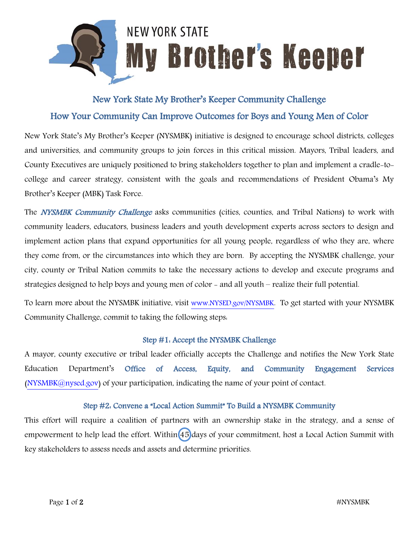

# New York State My Brother's Keeper Community Challenge How Your Community Can Improve Outcomes for Boys and Young Men of Color

New York State's My Brother's Keeper (NYSMBK) initiative is designed to encourage school districts, colleges and universities, and community groups to join forces in this critical mission. Mayors, Tribal leaders, and County Executives are uniquely positioned to bring stakeholders together to plan and implement a cradle-tocollege and career strategy, consistent with the goals and recommendations of President Obama's My Brother's Keeper (MBK) Task Force.

The NYSMBK Community Challenge asks communities (cities, counties, and Tribal Nations) to work with community leaders, educators, business leaders and youth development experts across sectors to design and implement action plans that expand opportunities for all young people, regardless of who they are, where they come from, or the circumstances into which they are born. By accepting the NYSMBK challenge, your city, county or Tribal Nation commits to take the necessary actions to develop and execute programs and strategies designed to help boys and young men of color - and all youth – realize their full potential.

To learn more about the NYSMBK initiative, visit [www.NYSED.gov/NYSMBK](http://www.nysed.gov/NYSMBK). To get started with your NYSMBK Community Challenge, commit to taking the following steps:

# Step #1: Accept the NYSMBK Challenge

A mayor, county executive or tribal leader officially accepts the Challenge and notifies the New York State Education Department's Office of Access, Equity, and Community Engagement Services  $(NYSMBK@nysed.gov)$  of your participation, indicating the name of your point of contact.

# Step #2: Convene a "Local Action Summit" To Build a NYSMBK Community

This effort will require a coalition of partners with an ownership stake in the strategy, and a sense of empowerment to help lead the effort. Within 45 days of your commitment, host a Local Action Summit with key stakeholders to assess needs and assets and determine priorities.